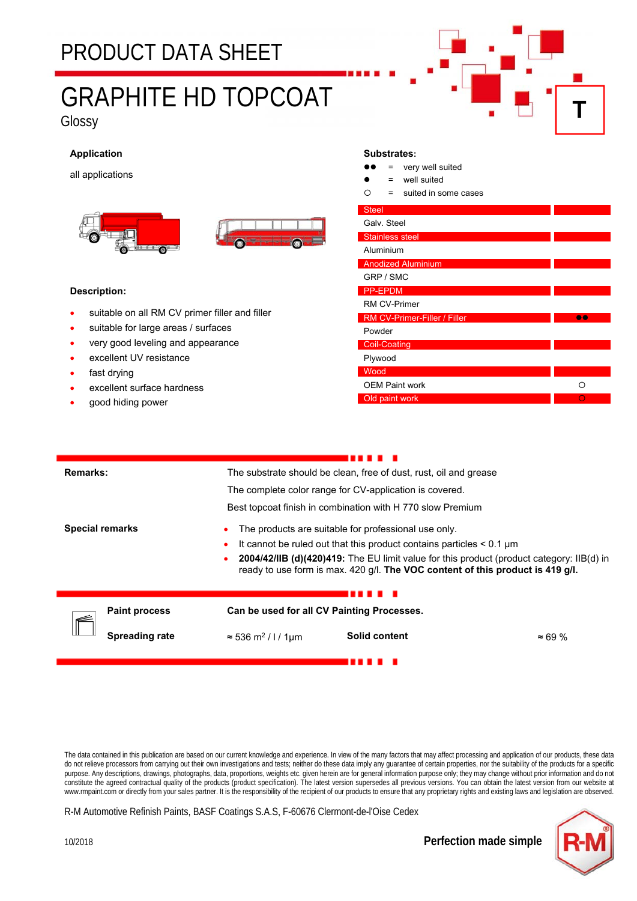### PRODUCT DATA SHEET

# GRAPHITE HD TOPCOAT

Glossy

#### **Application**

all applications





#### **Description:**

- suitable on all RM CV primer filler and filler
- suitable for large areas / surfaces
- very good leveling and appearance
- excellent UV resistance
- fast drying
- excellent surface hardness
- good hiding power

#### **Substrates:**

- $\bullet \bullet = \text{very well suited}$
- well suited
- $O =$  suited in some cases

| <b>Steel</b>                 |   |
|------------------------------|---|
| Galv. Steel                  |   |
| <b>Stainless steel</b>       |   |
| Aluminium                    |   |
| <b>Anodized Aluminium</b>    |   |
| GRP / SMC                    |   |
| <b>PP-EPDM</b>               |   |
| <b>RM CV-Primer</b>          |   |
| RM CV-Primer-Filler / Filler |   |
| Powder                       |   |
| <b>Coil-Coating</b>          |   |
| Plywood                      |   |
| Wood                         |   |
| <b>OEM Paint work</b>        | ∩ |
| Old paint work               |   |

**T**

| Remarks: |                        | The substrate should be clean, free of dust, rust, oil and grease                                                                                                           |               |                |  |
|----------|------------------------|-----------------------------------------------------------------------------------------------------------------------------------------------------------------------------|---------------|----------------|--|
|          |                        | The complete color range for CV-application is covered.                                                                                                                     |               |                |  |
|          |                        | Best topcoat finish in combination with H 770 slow Premium                                                                                                                  |               |                |  |
|          | <b>Special remarks</b> | The products are suitable for professional use only.                                                                                                                        |               |                |  |
|          |                        | It cannot be ruled out that this product contains particles $\leq 0.1$ µm                                                                                                   |               |                |  |
|          |                        | 2004/42/IIB (d)(420)419: The EU limit value for this product (product category: IIB(d) in<br>ready to use form is max. 420 g/l. The VOC content of this product is 419 g/l. |               |                |  |
|          |                        |                                                                                                                                                                             |               |                |  |
|          |                        |                                                                                                                                                                             |               |                |  |
|          | <b>Paint process</b>   | Can be used for all CV Painting Processes.                                                                                                                                  |               |                |  |
|          | Spreading rate         | $\approx$ 536 m <sup>2</sup> / l / 1µm                                                                                                                                      | Solid content | $\approx 69\%$ |  |
|          |                        |                                                                                                                                                                             |               |                |  |

The data contained in this publication are based on our current knowledge and experience. In view of the many factors that may affect processing and application of our products, these data do not relieve processors from carrying out their own investigations and tests; neither do these data imply any guarantee of certain properties, nor the suitability of the products for a specific purpose. Any descriptions, drawings, photographs, data, proportions, weights etc. given herein are for general information purpose only; they may change without prior information and do not constitute the agreed contractual quality of the products (product specification). The latest version supersedes all previous versions. You can obtain the latest version from our website at www.rmpaint.com or directly from your sales partner. It is the responsibility of the recipient of our products to ensure that any proprietary rights and existing laws and legislation are observed.

R-M Automotive Refinish Paints, BASF Coatings S.A.S, F-60676 Clermont-de-l'Oise Cedex